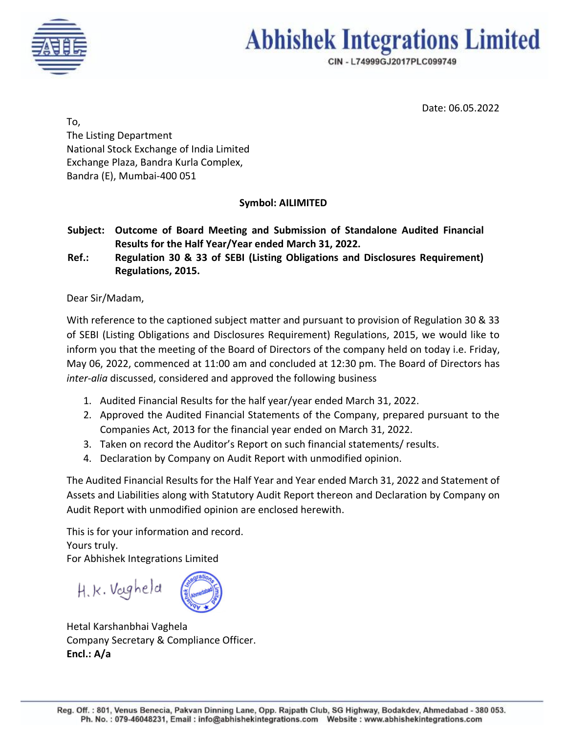

# **Abhishek Integrations Limited**

CIN - L74999GJ2017PLC099749

Date: 06.05.2022

To, The Listing Department National Stock Exchange of India Limited Exchange Plaza, Bandra Kurla Complex, Bandra (E), Mumbai-400 051

## **Symbol: AILIMITED**

**Subject: Outcome of Board Meeting and Submission of Standalone Audited Financial Results for the Half Year/Year ended March 31, 2022.**

**Ref.: Regulation 30 & 33 of SEBI (Listing Obligations and Disclosures Requirement) Regulations, 2015.**

### Dear Sir/Madam,

With reference to the captioned subject matter and pursuant to provision of Regulation 30 & 33 of SEBI (Listing Obligations and Disclosures Requirement) Regulations, 2015, we would like to inform you that the meeting of the Board of Directors of the company held on today i.e. Friday, May 06, 2022, commenced at 11:00 am and concluded at 12:30 pm. The Board of Directors has *inter-alia* discussed, considered and approved the following business

- 1. Audited Financial Results for the half year/year ended March 31, 2022.
- 2. Approved the Audited Financial Statements of the Company, prepared pursuant to the Companies Act, 2013 for the financial year ended on March 31, 2022.
- 3. Taken on record the Auditor's Report on such financial statements/ results.
- 4. Declaration by Company on Audit Report with unmodified opinion.

The Audited Financial Results for the Half Year and Year ended March 31, 2022 and Statement of Assets and Liabilities along with Statutory Audit Report thereon and Declaration by Company on Audit Report with unmodified opinion are enclosed herewith.

This is for your information and record. Yours truly. For Abhishek Integrations Limited

H.k. Vougheld

Hetal Karshanbhai Vaghela Company Secretary & Compliance Officer. **Encl.: A/a**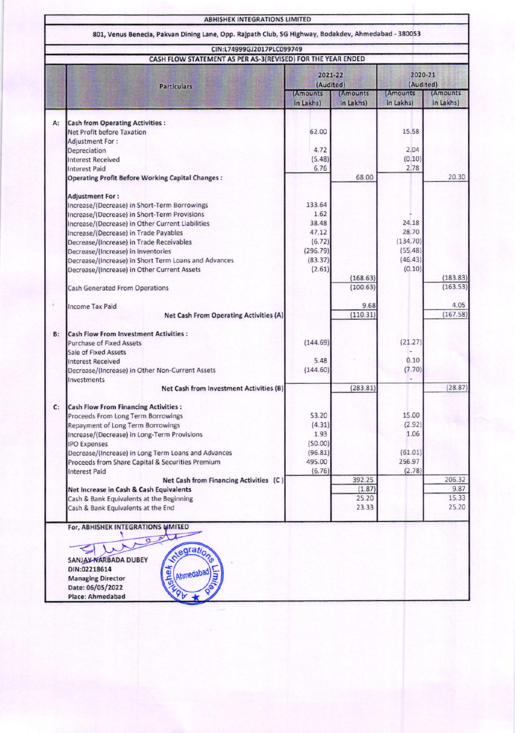|                                                             |                                                                                | <b>ABHISHEK INTEGRATIONS LIMITED</b>                                                                |                        |                              |                        |                        |  |
|-------------------------------------------------------------|--------------------------------------------------------------------------------|-----------------------------------------------------------------------------------------------------|------------------------|------------------------------|------------------------|------------------------|--|
|                                                             |                                                                                | 801, Venus Benecia, Pakvan Dining Lane, Opp. Rajpath Club, SG Highway, Bodakdev, Ahmedabad - 380053 |                        |                              |                        |                        |  |
|                                                             |                                                                                | CIN:L74999GJ2017PLC099749<br>CASH FLOW STATEMENT AS PER AS-3(REVISED) FOR THE YEAR ENDED            |                        |                              |                        |                        |  |
|                                                             |                                                                                | <b>Particulars</b>                                                                                  |                        | 2021-22<br>(Audited)         |                        | 2020-21<br>(Audited)   |  |
|                                                             |                                                                                |                                                                                                     | (Amounts)<br>in Lakhs) | <b>(Amounts</b><br>in Lakhs) | (Amounts)<br>in Lakhs) | (Amounts)<br>in Lakhs) |  |
| A:                                                          | <b>Cash from Operating Activities:</b>                                         |                                                                                                     |                        |                              |                        |                        |  |
|                                                             | Net Profit before Taxation                                                     |                                                                                                     | 62.00                  |                              | 15.58                  |                        |  |
|                                                             | <b>Adjustment For:</b>                                                         |                                                                                                     |                        |                              |                        |                        |  |
|                                                             | Depreciation                                                                   |                                                                                                     | 4.72                   |                              | 2.04                   |                        |  |
|                                                             | <b>Interest Received</b>                                                       |                                                                                                     | (5.48)                 |                              | (0.10)                 |                        |  |
|                                                             | <b>Interest Paid</b>                                                           |                                                                                                     | 6.76                   |                              | 2.78                   |                        |  |
|                                                             |                                                                                | <b>Operating Profit Before Working Capital Changes:</b>                                             |                        | 68.00                        |                        | 20.30                  |  |
|                                                             | <b>Adjustment For:</b>                                                         |                                                                                                     |                        |                              |                        |                        |  |
|                                                             | Increase/(Decrease) in Short-Term Borrowings                                   |                                                                                                     | 133.64                 |                              |                        |                        |  |
|                                                             | Increase/(Decrease) in Short-Term Provisions                                   |                                                                                                     | 1.62                   |                              |                        |                        |  |
|                                                             | Increase/(Decrease) in Other Current Liabilities                               |                                                                                                     | 38.48                  |                              | 24.18                  |                        |  |
|                                                             | Increase/(Decrease) in Trade Payables                                          |                                                                                                     | 47.12                  |                              | 28.70                  |                        |  |
|                                                             | Decrease/(Increase) in Trade Receivables                                       |                                                                                                     | (6.72)                 |                              | (134.70)               |                        |  |
|                                                             | Decrease/(Increase) in Inventories                                             |                                                                                                     | (296.79)               |                              | (55.48)                |                        |  |
|                                                             |                                                                                | Decrease/(Increase) in Short Term Loans and Advances                                                | (83.37)                |                              | (46.43)                |                        |  |
|                                                             | Decrease/(Increase) in Other Current Assets                                    |                                                                                                     | (2.61)                 |                              | (0.10)                 |                        |  |
|                                                             | <b>Cash Generated From Operations</b>                                          |                                                                                                     |                        | (168.63)<br>(100.63)         |                        | (183.83)<br>(163.53)   |  |
|                                                             |                                                                                |                                                                                                     |                        |                              |                        | 4.05                   |  |
|                                                             | <b>Income Tax Paid</b>                                                         | Net Cash From Operating Activities (A)                                                              |                        | 9.68<br>(110.31)             |                        | (167.58)               |  |
| <b>B:</b>                                                   | <b>Cash Flow From Investment Activities:</b>                                   |                                                                                                     |                        |                              |                        |                        |  |
|                                                             | <b>Purchase of Fixed Assets</b>                                                |                                                                                                     | (144.69)               |                              | (21.27)                |                        |  |
|                                                             | Sale of Fixed Assets                                                           |                                                                                                     |                        |                              |                        |                        |  |
|                                                             | <b>Interest Received</b>                                                       |                                                                                                     | 5.48                   |                              | 0.10                   |                        |  |
|                                                             | Decrease/(Increase) in Other Non-Current Assets                                |                                                                                                     | (144.60)               |                              | (7.70)                 |                        |  |
|                                                             | Investments                                                                    | Net Cash from Investment Activities (B)                                                             |                        | (283.81)                     |                        | (28.87)                |  |
|                                                             |                                                                                |                                                                                                     |                        |                              |                        |                        |  |
| C:                                                          | <b>Cash Flow From Financing Activities:</b>                                    |                                                                                                     |                        |                              |                        |                        |  |
|                                                             | Proceeds From Long Term Borrowings                                             |                                                                                                     | 53.20                  |                              | 15.00                  |                        |  |
|                                                             | Repayment of Long Term Borrowings                                              |                                                                                                     | (4.31)                 |                              | (2.92)                 |                        |  |
|                                                             | Increase/(Decrease) in Long-Term Provisions                                    |                                                                                                     | 1.93                   |                              | 1.06                   |                        |  |
|                                                             | <b>IPO Expenses</b>                                                            |                                                                                                     | (50.00)                |                              |                        |                        |  |
|                                                             |                                                                                | Decrease/(Increase) in Long Term Loans and Advances                                                 | (96.81)                |                              | (61.01)                |                        |  |
|                                                             |                                                                                | Proceeds from Share Capital & Securities Premium                                                    | 495.00                 |                              | 256.97                 |                        |  |
|                                                             | <b>Interest Paid</b>                                                           |                                                                                                     | (6.76)                 |                              | (2.78)                 |                        |  |
|                                                             | Net Cash from Financing Activities (C)                                         |                                                                                                     |                        | 392.25                       |                        | 206.32<br>9.87         |  |
|                                                             | Net Increase in Cash & Cash Equivalents                                        |                                                                                                     |                        | (1.87)                       |                        | 15.33                  |  |
|                                                             | Cash & Bank Equivalents at the Beginning<br>Cash & Bank Equivalents at the End |                                                                                                     |                        | 25.20<br>23.33               |                        | 25.20                  |  |
|                                                             |                                                                                |                                                                                                     |                        |                              |                        |                        |  |
|                                                             | For, ABHISHEK INTEGRATIONS UMITED                                              |                                                                                                     |                        |                              |                        |                        |  |
|                                                             |                                                                                | Q                                                                                                   |                        |                              |                        |                        |  |
|                                                             |                                                                                | ntegration                                                                                          |                        |                              |                        |                        |  |
| SANJAY NARBADA DUBEY<br>weller<br>DIN:02218614<br>Ahmedabad |                                                                                |                                                                                                     |                        |                              |                        |                        |  |
|                                                             |                                                                                |                                                                                                     |                        |                              |                        |                        |  |
|                                                             | <b>Managing Director</b><br>Date: 06/05/2022                                   |                                                                                                     |                        |                              |                        |                        |  |
|                                                             | Place: Ahmedabad                                                               |                                                                                                     |                        |                              |                        |                        |  |
|                                                             |                                                                                |                                                                                                     |                        |                              |                        |                        |  |